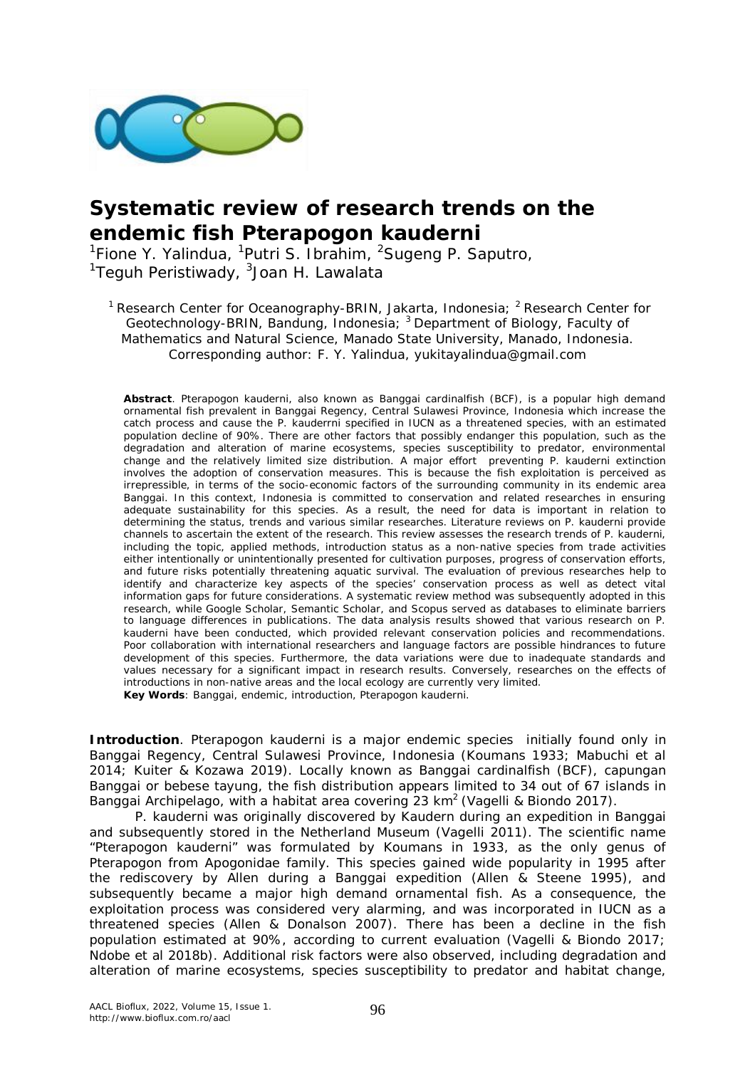

# **Systematic review of research trends on the endemic fish** *Pterapogon kauderni*

<sup>1</sup>Fione Y. Yalindua, <sup>1</sup>Putri S. Ibrahim, <sup>2</sup>Sugeng P. Saputro,  $^1$ Teguh Peristiwady,  $^3$ Joan H. Lawalata

<sup>1</sup> Research Center for Oceanography-BRIN, Jakarta, Indonesia; <sup>2</sup> Research Center for Geotechnology-BRIN, Bandung, Indonesia; <sup>3</sup> Department of Biology, Faculty of Mathematics and Natural Science, Manado State University, Manado, Indonesia. Corresponding author: F. Y. Yalindua, yukitayalindua@gmail.com

**Abstract**. *Pterapogon kauderni*, also known as Banggai cardinalfish (BCF), is a popular high demand ornamental fish prevalent in Banggai Regency, Central Sulawesi Province, Indonesia which increase the catch process and cause the *P. kauderrni* specified in IUCN as a threatened species, with an estimated population decline of 90%. There are other factors that possibly endanger this population, such as the degradation and alteration of marine ecosystems, species susceptibility to predator, environmental change and the relatively limited size distribution. A major effort preventing *P. kauderni* extinction involves the adoption of conservation measures. This is because the fish exploitation is perceived as irrepressible, in terms of the socio-economic factors of the surrounding community in its endemic area Banggai. In this context, Indonesia is committed to conservation and related researches in ensuring adequate sustainability for this species. As a result, the need for data is important in relation to determining the status, trends and various similar researches. Literature reviews on *P. kauderni* provide channels to ascertain the extent of the research. This review assesses the research trends of *P. kauderni*, including the topic, applied methods, introduction status as a non-native species from trade activities either intentionally or unintentionally presented for cultivation purposes, progress of conservation efforts, and future risks potentially threatening aquatic survival. The evaluation of previous researches help to identify and characterize key aspects of the species' conservation process as well as detect vital information gaps for future considerations. A systematic review method was subsequently adopted in this research, while Google Scholar, Semantic Scholar, and Scopus served as databases to eliminate barriers to language differences in publications. The data analysis results showed that various research on *P. kauderni* have been conducted, which provided relevant conservation policies and recommendations. Poor collaboration with international researchers and language factors are possible hindrances to future development of this species. Furthermore, the data variations were due to inadequate standards and values necessary for a significant impact in research results. Conversely, researches on the effects of introductions in non-native areas and the local ecology are currently very limited. **Key Words**: Banggai, endemic, introduction, *Pterapogon kauderni*.

**Introduction**. *Pterapogon kauderni* is a major endemic species initially found only in Banggai Regency, Central Sulawesi Province, Indonesia (Koumans 1933; Mabuchi et al 2014; Kuiter & Kozawa 2019). Locally known as Banggai cardinalfish (BCF), capungan Banggai or bebese tayung, the fish distribution appears limited to 34 out of 67 islands in Banggai Archipelago, with a habitat area covering 23 km<sup>2</sup> (Vagelli & Biondo 2017).

*P. kauderni* was originally discovered by Kaudern during an expedition in Banggai and subsequently stored in the Netherland Museum (Vagelli 2011). The scientific name "*Pterapogon kauderni*" was formulated by Koumans in 1933, as the only genus of *Pterapogon* from Apogonidae family. This species gained wide popularity in 1995 after the rediscovery by Allen during a Banggai expedition (Allen & Steene 1995), and subsequently became a major high demand ornamental fish. As a consequence, the exploitation process was considered very alarming, and was incorporated in IUCN as a threatened species (Allen & Donalson 2007). There has been a decline in the fish population estimated at 90%, according to current evaluation (Vagelli & Biondo 2017; Ndobe et al 2018b). Additional risk factors were also observed, including degradation and alteration of marine ecosystems, species susceptibility to predator and habitat change,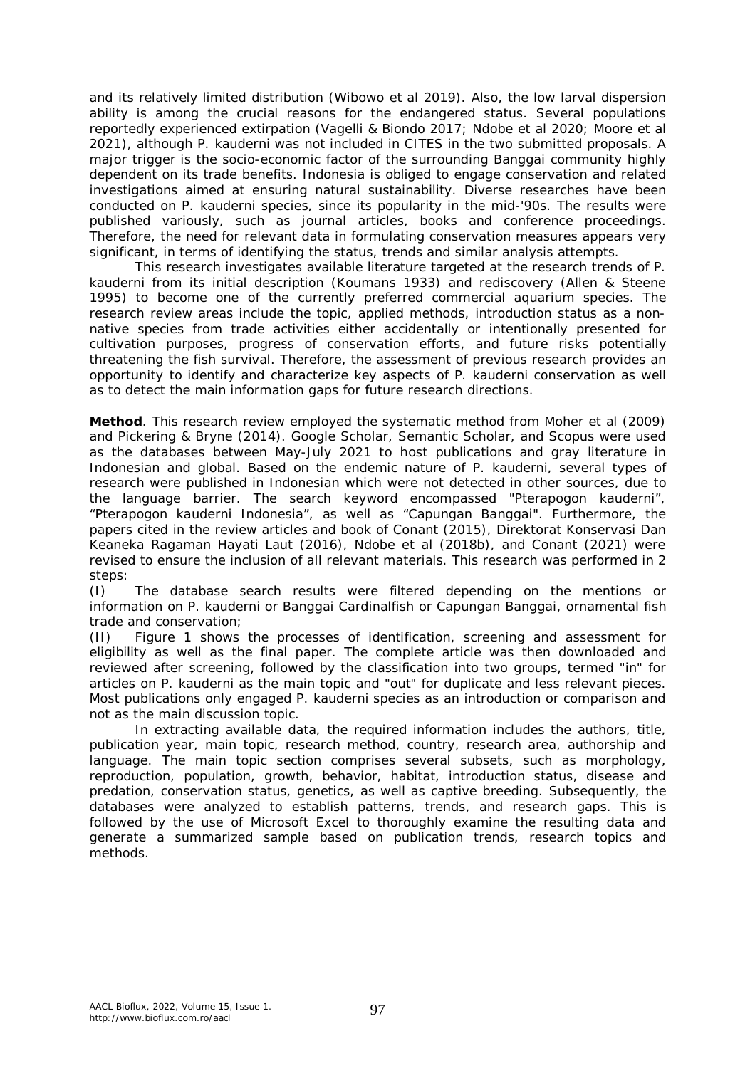and its relatively limited distribution (Wibowo et al 2019). Also, the low larval dispersion ability is among the crucial reasons for the endangered status. Several populations reportedly experienced extirpation (Vagelli & Biondo 2017; Ndobe et al 2020; Moore et al 2021), although *P. kauderni* was not included in CITES in the two submitted proposals. A major trigger is the socio-economic factor of the surrounding Banggai community highly dependent on its trade benefits. Indonesia is obliged to engage conservation and related investigations aimed at ensuring natural sustainability. Diverse researches have been conducted on *P. kauderni* species, since its popularity in the mid-'90s. The results were published variously, such as journal articles, books and conference proceedings. Therefore, the need for relevant data in formulating conservation measures appears very significant, in terms of identifying the status, trends and similar analysis attempts.

This research investigates available literature targeted at the research trends of *P. kauderni* from its initial description (Koumans 1933) and rediscovery (Allen & Steene 1995) to become one of the currently preferred commercial aquarium species. The research review areas include the topic, applied methods, introduction status as a nonnative species from trade activities either accidentally or intentionally presented for cultivation purposes, progress of conservation efforts, and future risks potentially threatening the fish survival. Therefore, the assessment of previous research provides an opportunity to identify and characterize key aspects of *P. kauderni* conservation as well as to detect the main information gaps for future research directions.

**Method**. This research review employed the systematic method from Moher et al (2009) and Pickering & Bryne (2014). Google Scholar, Semantic Scholar, and Scopus were used as the databases between May-July 2021 to host publications and gray literature in Indonesian and global. Based on the endemic nature of *P. kauderni*, several types of research were published in Indonesian which were not detected in other sources, due to the language barrier. The search keyword encompassed "*Pterapogon kauderni*", "*Pterapogon kauderni* Indonesia", as well as "Capungan Banggai". Furthermore, the papers cited in the review articles and book of Conant (2015), Direktorat Konservasi Dan Keaneka Ragaman Hayati Laut (2016), Ndobe et al (2018b), and Conant (2021) were revised to ensure the inclusion of all relevant materials. This research was performed in 2 steps:

(I) The database search results were filtered depending on the mentions or information on *P. kauderni* or Banggai Cardinalfish or Capungan Banggai, ornamental fish trade and conservation;

(II) Figure 1 shows the processes of identification, screening and assessment for eligibility as well as the final paper. The complete article was then downloaded and reviewed after screening, followed by the classification into two groups, termed "in" for articles on *P. kauderni* as the main topic and "out" for duplicate and less relevant pieces. Most publications only engaged *P. kauderni* species as an introduction or comparison and not as the main discussion topic.

In extracting available data, the required information includes the authors, title, publication year, main topic, research method, country, research area, authorship and language. The main topic section comprises several subsets, such as morphology, reproduction, population, growth, behavior, habitat, introduction status, disease and predation, conservation status, genetics, as well as captive breeding. Subsequently, the databases were analyzed to establish patterns, trends, and research gaps. This is followed by the use of Microsoft Excel to thoroughly examine the resulting data and generate a summarized sample based on publication trends, research topics and methods.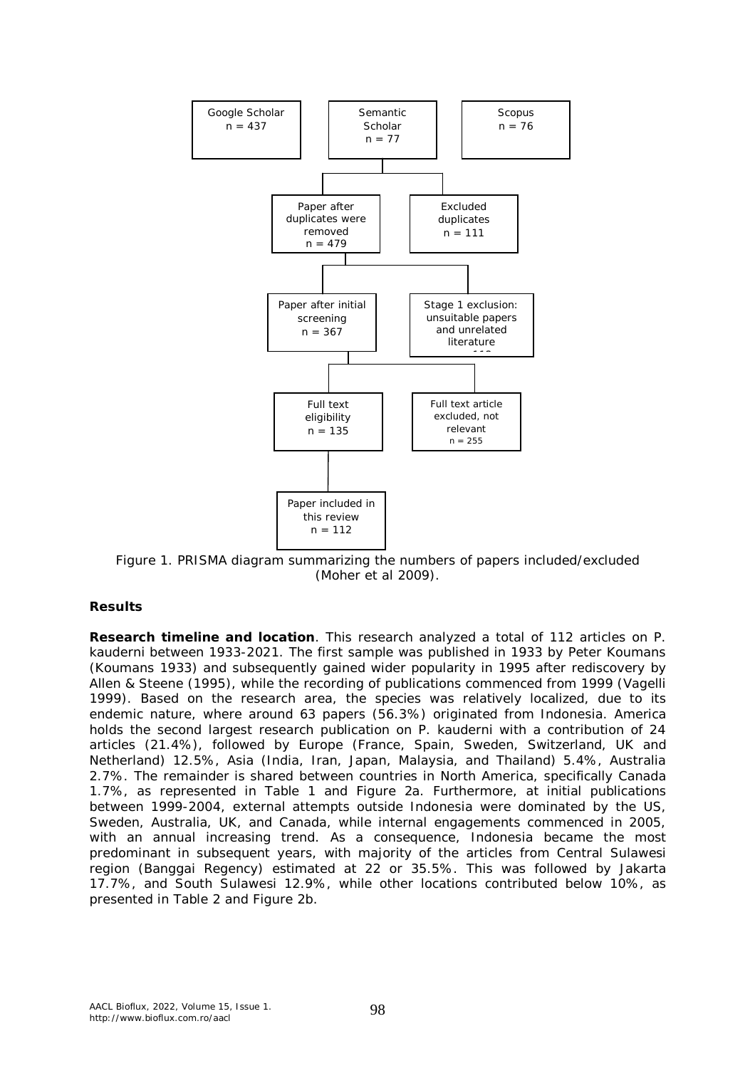

Figure 1. PRISMA diagram summarizing the numbers of papers included/excluded (Moher et al 2009).

## **Results**

*Research timeline and location.* This research analyzed a total of 112 articles on *P. kauderni* between 1933-2021. The first sample was published in 1933 by Peter Koumans (Koumans 1933) and subsequently gained wider popularity in 1995 after rediscovery by Allen & Steene (1995), while the recording of publications commenced from 1999 (Vagelli 1999). Based on the research area, the species was relatively localized, due to its endemic nature, where around 63 papers (56.3%) originated from Indonesia. America holds the second largest research publication on *P. kauderni* with a contribution of 24 articles (21.4%), followed by Europe (France, Spain, Sweden, Switzerland, UK and Netherland) 12.5%, Asia (India, Iran, Japan, Malaysia, and Thailand) 5.4%, Australia 2.7%. The remainder is shared between countries in North America, specifically Canada 1.7%, as represented in Table 1 and Figure 2a. Furthermore, at initial publications between 1999-2004, external attempts outside Indonesia were dominated by the US, Sweden, Australia, UK, and Canada, while internal engagements commenced in 2005, with an annual increasing trend. As a consequence, Indonesia became the most predominant in subsequent years, with majority of the articles from Central Sulawesi region (Banggai Regency) estimated at 22 or 35.5%. This was followed by Jakarta 17.7%, and South Sulawesi 12.9%, while other locations contributed below 10%, as presented in Table 2 and Figure 2b.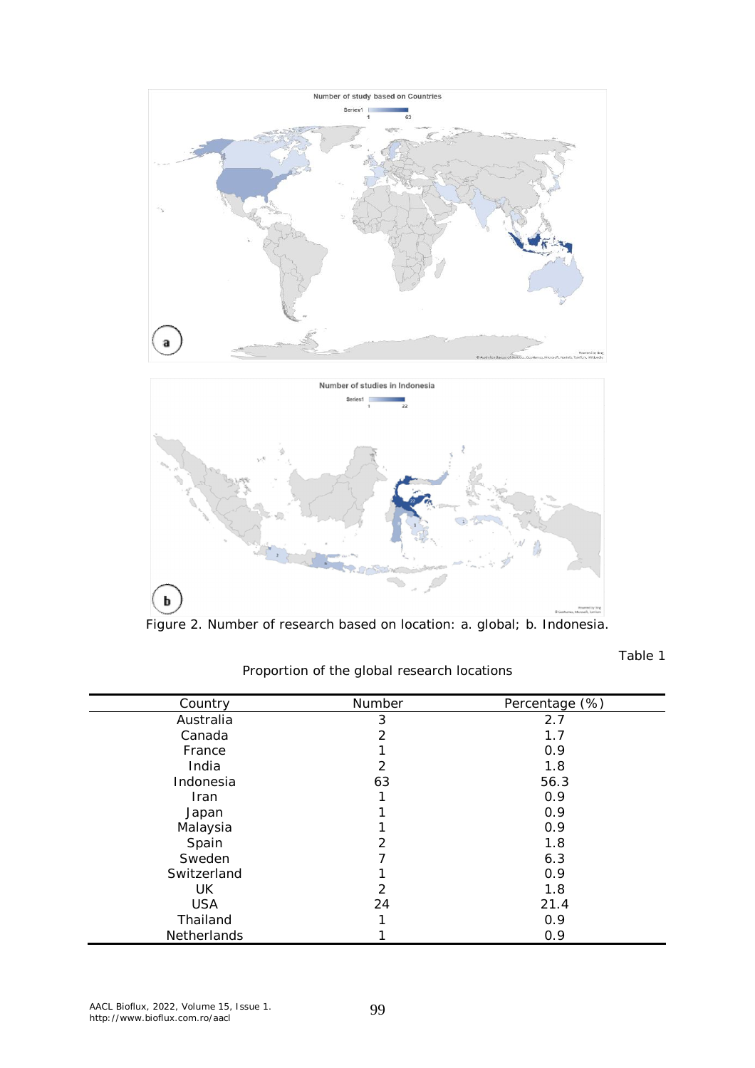



Figure 2. Number of research based on location: a. global; b. Indonesia.

Table 1

| Country     | Number | Percentage (%) |
|-------------|--------|----------------|
| Australia   | 3      | 2.7            |
| Canada      | 2      | 1.7            |
| France      |        | 0.9            |
| India       | 2      | 1.8            |
| Indonesia   | 63     | 56.3           |
| <b>Iran</b> |        | 0.9            |
| Japan       |        | 0.9            |
| Malaysia    |        | 0.9            |
| Spain       | 2      | 1.8            |
| Sweden      |        | 6.3            |
| Switzerland |        | 0.9            |
| UK          | 2      | 1.8            |
| <b>USA</b>  | 24     | 21.4           |
| Thailand    |        | 0.9            |
| Netherlands |        | 0.9            |

Proportion of the global research locations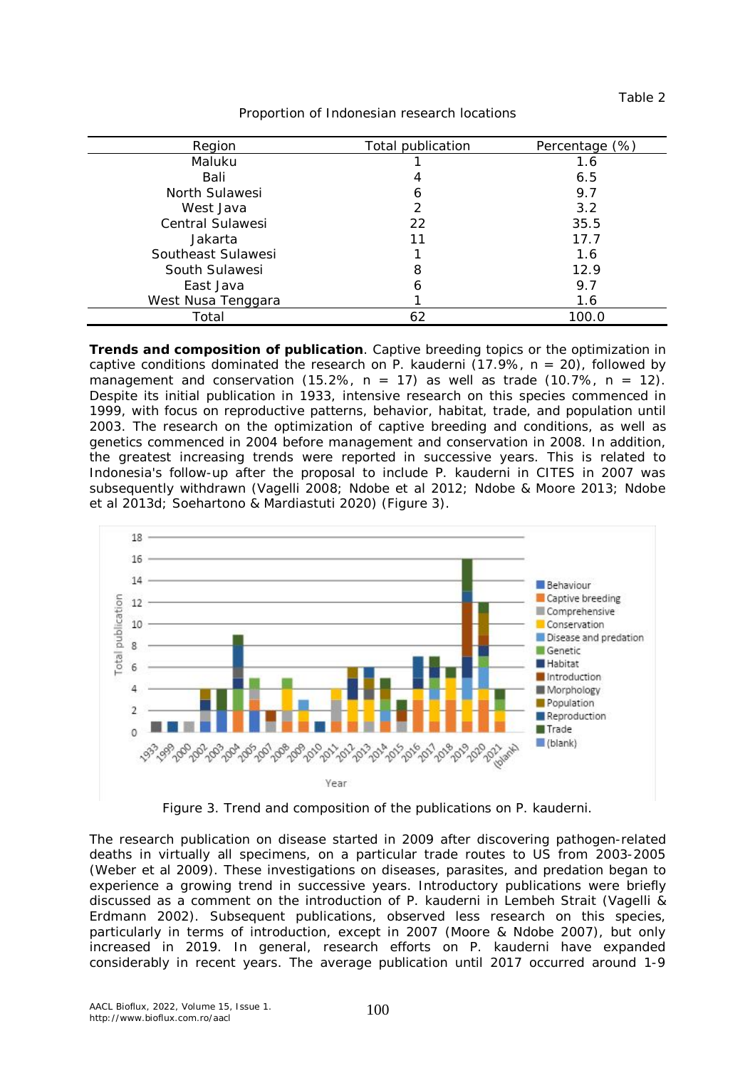| Region             | Total publication | Percentage (%) |
|--------------------|-------------------|----------------|
| Maluku             |                   | 1.6            |
| Bali               | 4                 | 6.5            |
| North Sulawesi     | 6                 | 9.7            |
| West Java          | 2                 | 3.2            |
| Central Sulawesi   | 22                | 35.5           |
| Jakarta            | 11                | 17.7           |
| Southeast Sulawesi |                   | 1.6            |
| South Sulawesi     | 8                 | 12.9           |
| East Java          | 6                 | 9.7            |
| West Nusa Tenggara |                   | 1.6            |
| Total              | 62                | 100.0          |

Proportion of Indonesian research locations

*Trends and composition of publication.* Captive breeding topics or the optimization in captive conditions dominated the research on *P. kauderni* (17.9%, n = 20), followed by management and conservation (15.2%,  $n = 17$ ) as well as trade (10.7%,  $n = 12$ ). Despite its initial publication in 1933, intensive research on this species commenced in 1999, with focus on reproductive patterns, behavior, habitat, trade, and population until 2003. The research on the optimization of captive breeding and conditions, as well as genetics commenced in 2004 before management and conservation in 2008. In addition, the greatest increasing trends were reported in successive years. This is related to Indonesia's follow-up after the proposal to include *P. kauderni* in CITES in 2007 was subsequently withdrawn (Vagelli 2008; Ndobe et al 2012; Ndobe & Moore 2013; Ndobe et al 2013d; Soehartono & Mardiastuti 2020) (Figure 3).



Figure 3. Trend and composition of the publications on *P. kauderni*.

The research publication on disease started in 2009 after discovering pathogen-related deaths in virtually all specimens, on a particular trade routes to US from 2003-2005 (Weber et al 2009). These investigations on diseases, parasites, and predation began to experience a growing trend in successive years. Introductory publications were briefly discussed as a comment on the introduction of *P. kauderni* in Lembeh Strait (Vagelli & Erdmann 2002). Subsequent publications, observed less research on this species, particularly in terms of introduction, except in 2007 (Moore & Ndobe 2007), but only increased in 2019. In general, research efforts on *P. kauderni* have expanded considerably in recent years. The average publication until 2017 occurred around 1-9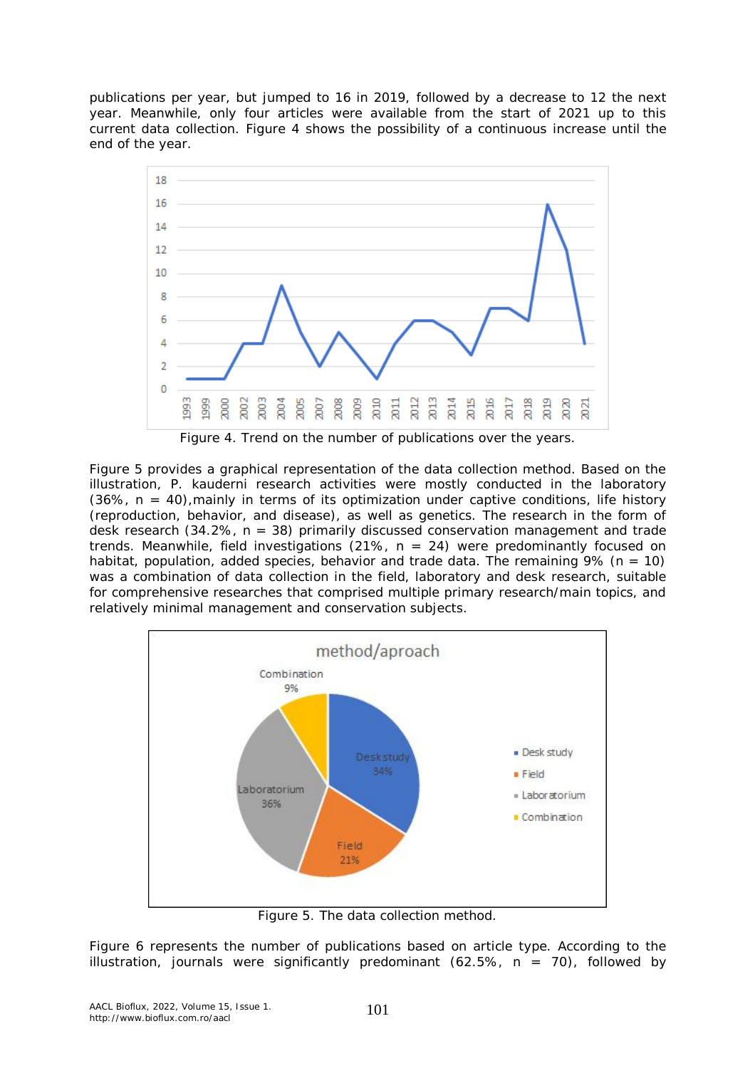publications per year, but jumped to 16 in 2019, followed by a decrease to 12 the next year. Meanwhile, only four articles were available from the start of 2021 up to this current data collection. Figure 4 shows the possibility of a continuous increase until the end of the year.



Figure 5 provides a graphical representation of the data collection method. Based on the illustration, *P. kauderni* research activities were mostly conducted in the laboratory  $(36\% , n = 40)$ , mainly in terms of its optimization under captive conditions, life history (reproduction, behavior, and disease), as well as genetics. The research in the form of desk research (34.2%,  $n = 38$ ) primarily discussed conservation management and trade trends. Meanwhile, field investigations  $(21\%, n = 24)$  were predominantly focused on habitat, population, added species, behavior and trade data. The remaining  $9\%$  (n = 10) was a combination of data collection in the field, laboratory and desk research, suitable for comprehensive researches that comprised multiple primary research/main topics, and relatively minimal management and conservation subjects.



Figure 5. The data collection method.

Figure 6 represents the number of publications based on article type. According to the illustration, journals were significantly predominant (62.5%,  $n = 70$ ), followed by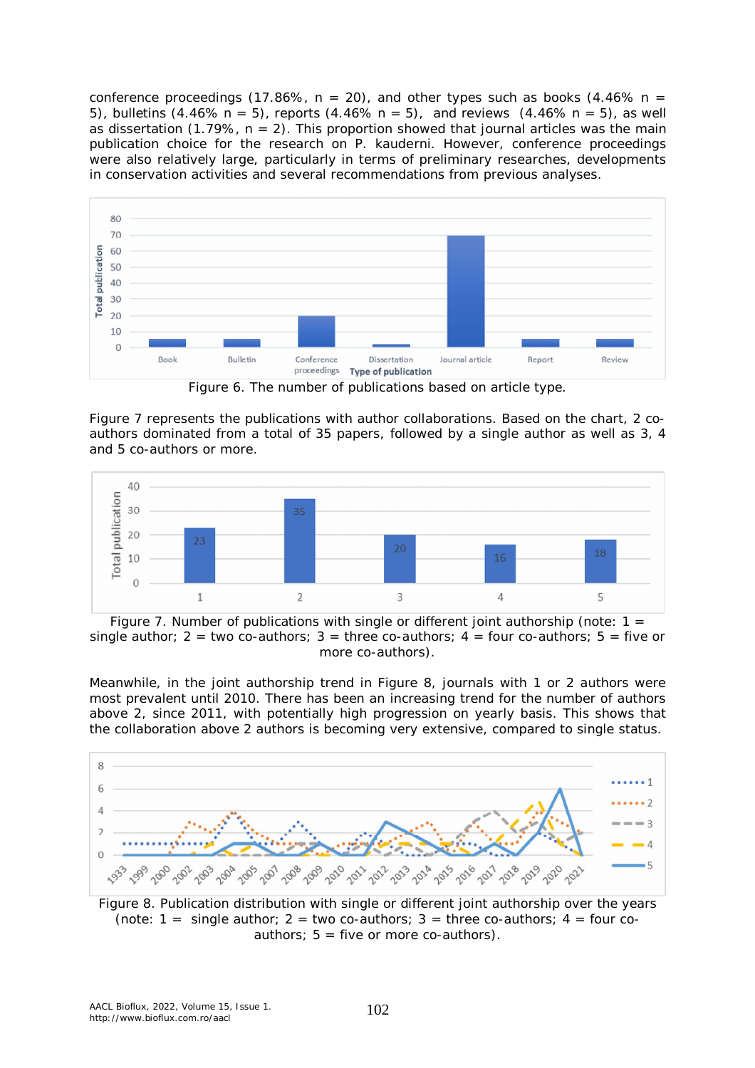conference proceedings (17.86%,  $n = 20$ ), and other types such as books (4.46%  $n =$ 5), bulletins (4.46% n = 5), reports (4.46% n = 5), and reviews  $(4.46\% \text{ n} = 5)$ , as well as dissertation (1.79%,  $n = 2$ ). This proportion showed that journal articles was the main publication choice for the research on *P. kauderni*. However, conference proceedings were also relatively large, particularly in terms of preliminary researches, developments in conservation activities and several recommendations from previous analyses.



Figure 6. The number of publications based on article type.

Figure 7 represents the publications with author collaborations. Based on the chart, 2 coauthors dominated from a total of 35 papers, followed by a single author as well as 3, 4 and 5 co-authors or more.



Figure 7. Number of publications with single or different joint authorship (note:  $1 =$ single author; 2 = two co-authors; 3 = three co-authors; 4 = four co-authors; 5 = five or more co-authors).

Meanwhile, in the joint authorship trend in Figure 8, journals with 1 or 2 authors were most prevalent until 2010. There has been an increasing trend for the number of authors above 2, since 2011, with potentially high progression on yearly basis. This shows that the collaboration above 2 authors is becoming very extensive, compared to single status.



Figure 8. Publication distribution with single or different joint authorship over the years (note:  $1 =$  single author;  $2 =$  two co-authors;  $3 =$  three co-authors;  $4 =$  four coauthors;  $5 =$  five or more co-authors).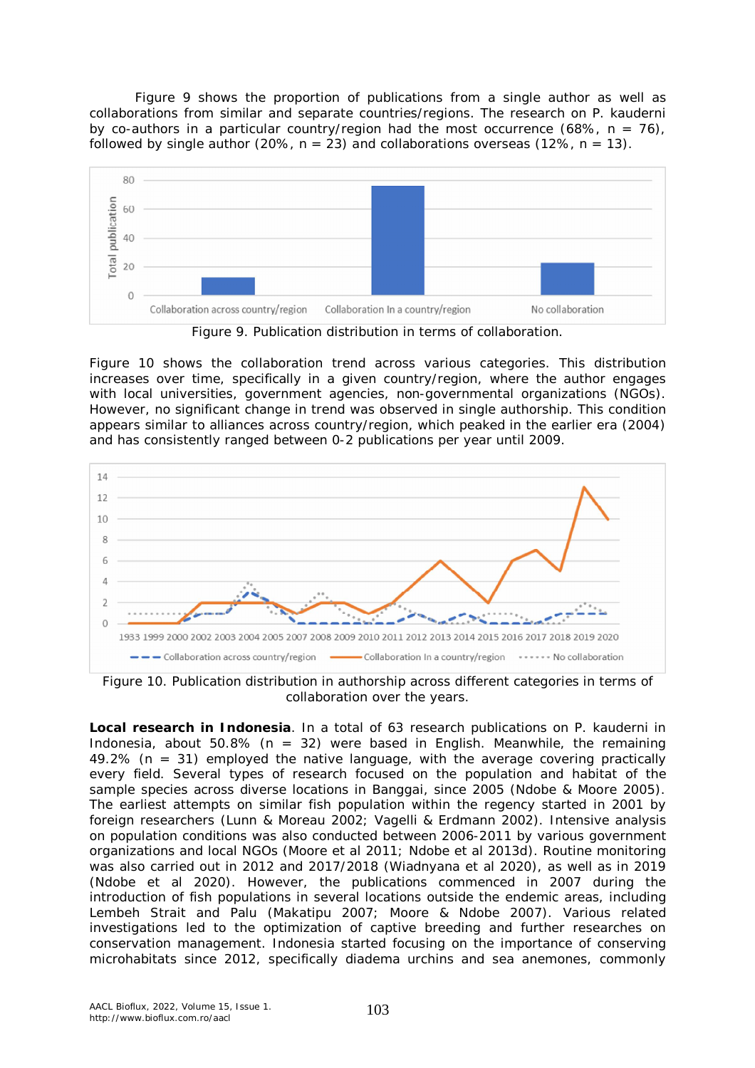Figure 9 shows the proportion of publications from a single author as well as collaborations from similar and separate countries/regions. The research on *P. kauderni* by co-authors in a particular country/region had the most occurrence (68%,  $n = 76$ ), followed by single author (20%,  $n = 23$ ) and collaborations overseas (12%,  $n = 13$ ).



Figure 9. Publication distribution in terms of collaboration.

Figure 10 shows the collaboration trend across various categories. This distribution increases over time, specifically in a given country/region, where the author engages with local universities, government agencies, non-governmental organizations (NGOs). However, no significant change in trend was observed in single authorship. This condition appears similar to alliances across country/region, which peaked in the earlier era (2004) and has consistently ranged between 0-2 publications per year until 2009.



Figure 10. Publication distribution in authorship across different categories in terms of collaboration over the years.

*Local research in Indonesia.* In a total of 63 research publications on *P. kauderni* in Indonesia, about 50.8% ( $n = 32$ ) were based in English. Meanwhile, the remaining 49.2% ( $n = 31$ ) employed the native language, with the average covering practically every field. Several types of research focused on the population and habitat of the sample species across diverse locations in Banggai, since 2005 (Ndobe & Moore 2005). The earliest attempts on similar fish population within the regency started in 2001 by foreign researchers (Lunn & Moreau 2002; Vagelli & Erdmann 2002). Intensive analysis on population conditions was also conducted between 2006-2011 by various government organizations and local NGOs (Moore et al 2011; Ndobe et al 2013d). Routine monitoring was also carried out in 2012 and 2017/2018 (Wiadnyana et al 2020), as well as in 2019 (Ndobe et al 2020). However, the publications commenced in 2007 during the introduction of fish populations in several locations outside the endemic areas, including Lembeh Strait and Palu (Makatipu 2007; Moore & Ndobe 2007). Various related investigations led to the optimization of captive breeding and further researches on conservation management. Indonesia started focusing on the importance of conserving microhabitats since 2012, specifically diadema urchins and sea anemones, commonly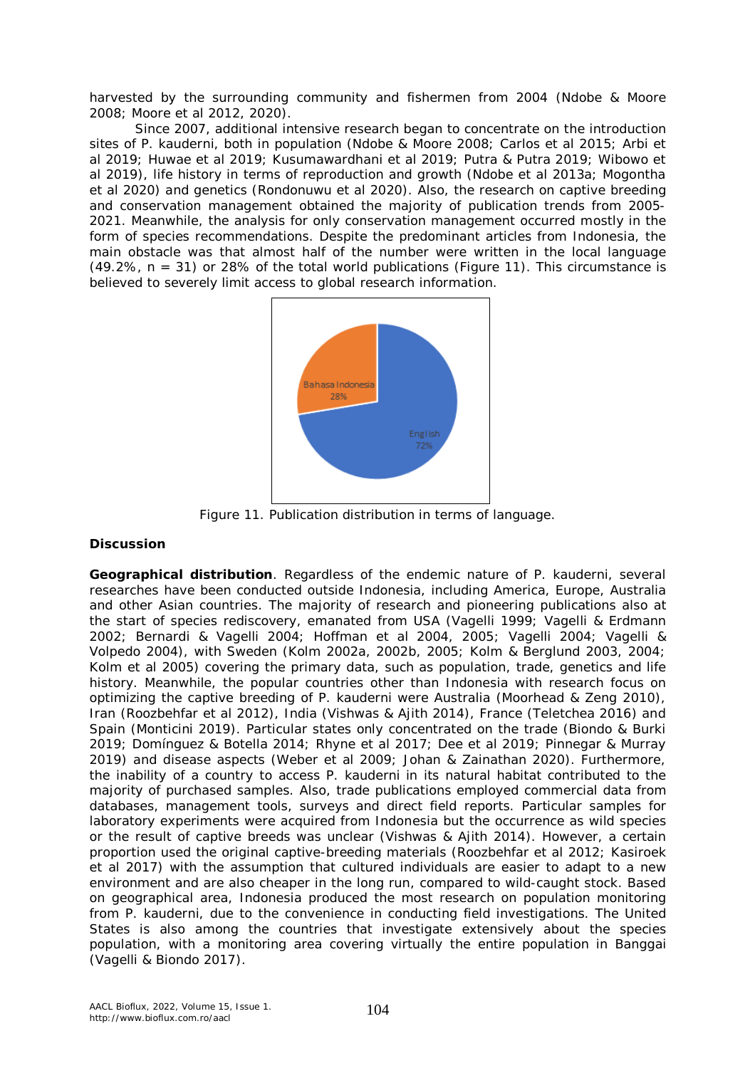harvested by the surrounding community and fishermen from 2004 (Ndobe & Moore 2008; Moore et al 2012, 2020).

Since 2007, additional intensive research began to concentrate on the introduction sites of *P. kauderni*, both in population (Ndobe & Moore 2008; Carlos et al 2015; Arbi et al 2019; Huwae et al 2019; Kusumawardhani et al 2019; Putra & Putra 2019; Wibowo et al 2019), life history in terms of reproduction and growth (Ndobe et al 2013a; Mogontha et al 2020) and genetics (Rondonuwu et al 2020). Also, the research on captive breeding and conservation management obtained the majority of publication trends from 2005- 2021. Meanwhile, the analysis for only conservation management occurred mostly in the form of species recommendations. Despite the predominant articles from Indonesia, the main obstacle was that almost half of the number were written in the local language  $(49.2\%$ , n = 31) or 28% of the total world publications (Figure 11). This circumstance is believed to severely limit access to global research information.



Figure 11. Publication distribution in terms of language.

## **Discussion**

*Geographical distribution.* Regardless of the endemic nature of *P. kauderni*, several researches have been conducted outside Indonesia, including America, Europe, Australia and other Asian countries. The majority of research and pioneering publications also at the start of species rediscovery, emanated from USA (Vagelli 1999; Vagelli & Erdmann 2002; Bernardi & Vagelli 2004; Hoffman et al 2004, 2005; Vagelli 2004; Vagelli & Volpedo 2004), with Sweden (Kolm 2002a, 2002b, 2005; Kolm & Berglund 2003, 2004; Kolm et al 2005) covering the primary data, such as population, trade, genetics and life history. Meanwhile, the popular countries other than Indonesia with research focus on optimizing the captive breeding of *P. kauderni* were Australia (Moorhead & Zeng 2010), Iran (Roozbehfar et al 2012), India (Vishwas & Ajith 2014), France (Teletchea 2016) and Spain (Monticini 2019). Particular states only concentrated on the trade (Biondo & Burki 2019; Domínguez & Botella 2014; Rhyne et al 2017; Dee et al 2019; Pinnegar & Murray 2019) and disease aspects (Weber et al 2009; Johan & Zainathan 2020). Furthermore, the inability of a country to access *P. kauderni* in its natural habitat contributed to the majority of purchased samples. Also, trade publications employed commercial data from databases, management tools, surveys and direct field reports. Particular samples for laboratory experiments were acquired from Indonesia but the occurrence as wild species or the result of captive breeds was unclear (Vishwas & Ajith 2014). However, a certain proportion used the original captive-breeding materials (Roozbehfar et al 2012; Kasiroek et al 2017) with the assumption that cultured individuals are easier to adapt to a new environment and are also cheaper in the long run, compared to wild-caught stock. Based on geographical area, Indonesia produced the most research on population monitoring from *P. kauderni*, due to the convenience in conducting field investigations. The United States is also among the countries that investigate extensively about the species population, with a monitoring area covering virtually the entire population in Banggai (Vagelli & Biondo 2017).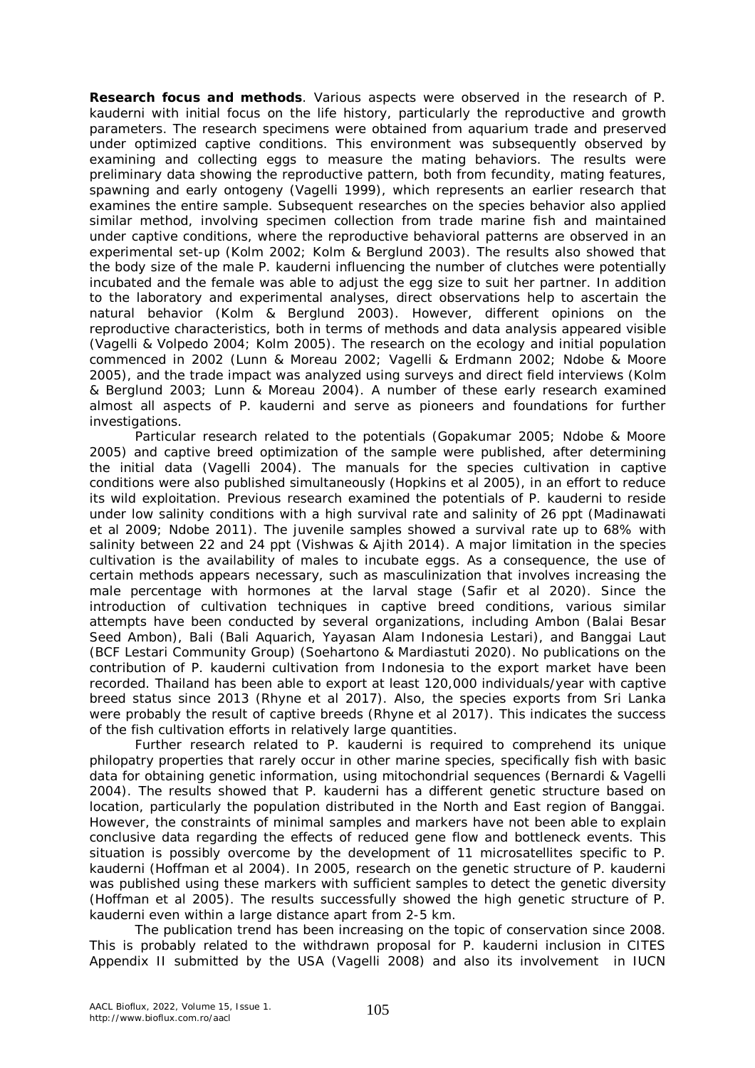*Research focus and methods.* Various aspects were observed in the research of *P. kauderni* with initial focus on the life history, particularly the reproductive and growth parameters. The research specimens were obtained from aquarium trade and preserved under optimized captive conditions. This environment was subsequently observed by examining and collecting eggs to measure the mating behaviors. The results were preliminary data showing the reproductive pattern, both from fecundity, mating features, spawning and early ontogeny (Vagelli 1999), which represents an earlier research that examines the entire sample. Subsequent researches on the species behavior also applied similar method, involving specimen collection from trade marine fish and maintained under captive conditions, where the reproductive behavioral patterns are observed in an experimental set-up (Kolm 2002; Kolm & Berglund 2003). The results also showed that the body size of the male *P. kauderni* influencing the number of clutches were potentially incubated and the female was able to adjust the egg size to suit her partner. In addition to the laboratory and experimental analyses, direct observations help to ascertain the natural behavior (Kolm & Berglund 2003). However, different opinions on the reproductive characteristics, both in terms of methods and data analysis appeared visible (Vagelli & Volpedo 2004; Kolm 2005). The research on the ecology and initial population commenced in 2002 (Lunn & Moreau 2002; Vagelli & Erdmann 2002; Ndobe & Moore 2005), and the trade impact was analyzed using surveys and direct field interviews (Kolm & Berglund 2003; Lunn & Moreau 2004). A number of these early research examined almost all aspects of *P. kauderni* and serve as pioneers and foundations for further investigations.

Particular research related to the potentials (Gopakumar 2005; Ndobe & Moore 2005) and captive breed optimization of the sample were published, after determining the initial data (Vagelli 2004). The manuals for the species cultivation in captive conditions were also published simultaneously (Hopkins et al 2005), in an effort to reduce its wild exploitation. Previous research examined the potentials of *P. kauderni* to reside under low salinity conditions with a high survival rate and salinity of 26 ppt (Madinawati et al 2009; Ndobe 2011). The juvenile samples showed a survival rate up to 68% with salinity between 22 and 24 ppt (Vishwas & Ajith 2014). A major limitation in the species cultivation is the availability of males to incubate eggs. As a consequence, the use of certain methods appears necessary, such as masculinization that involves increasing the male percentage with hormones at the larval stage (Safir et al 2020). Since the introduction of cultivation techniques in captive breed conditions, various similar attempts have been conducted by several organizations, including Ambon (Balai Besar Seed Ambon), Bali (Bali Aquarich, Yayasan Alam Indonesia Lestari), and Banggai Laut (BCF Lestari Community Group) (Soehartono & Mardiastuti 2020). No publications on the contribution of *P. kauderni* cultivation from Indonesia to the export market have been recorded. Thailand has been able to export at least 120,000 individuals/year with captive breed status since 2013 (Rhyne et al 2017). Also, the species exports from Sri Lanka were probably the result of captive breeds (Rhyne et al 2017). This indicates the success of the fish cultivation efforts in relatively large quantities.

Further research related to *P. kauderni* is required to comprehend its unique philopatry properties that rarely occur in other marine species, specifically fish with basic data for obtaining genetic information, using mitochondrial sequences (Bernardi & Vagelli 2004). The results showed that *P. kauderni* has a different genetic structure based on location, particularly the population distributed in the North and East region of Banggai. However, the constraints of minimal samples and markers have not been able to explain conclusive data regarding the effects of reduced gene flow and bottleneck events. This situation is possibly overcome by the development of 11 microsatellites specific to *P. kauderni* (Hoffman et al 2004). In 2005, research on the genetic structure of *P. kauderni* was published using these markers with sufficient samples to detect the genetic diversity (Hoffman et al 2005). The results successfully showed the high genetic structure of *P. kauderni* even within a large distance apart from 2-5 km.

The publication trend has been increasing on the topic of conservation since 2008. This is probably related to the withdrawn proposal for *P. kauderni* inclusion in CITES Appendix II submitted by the USA (Vagelli 2008) and also its involvement in IUCN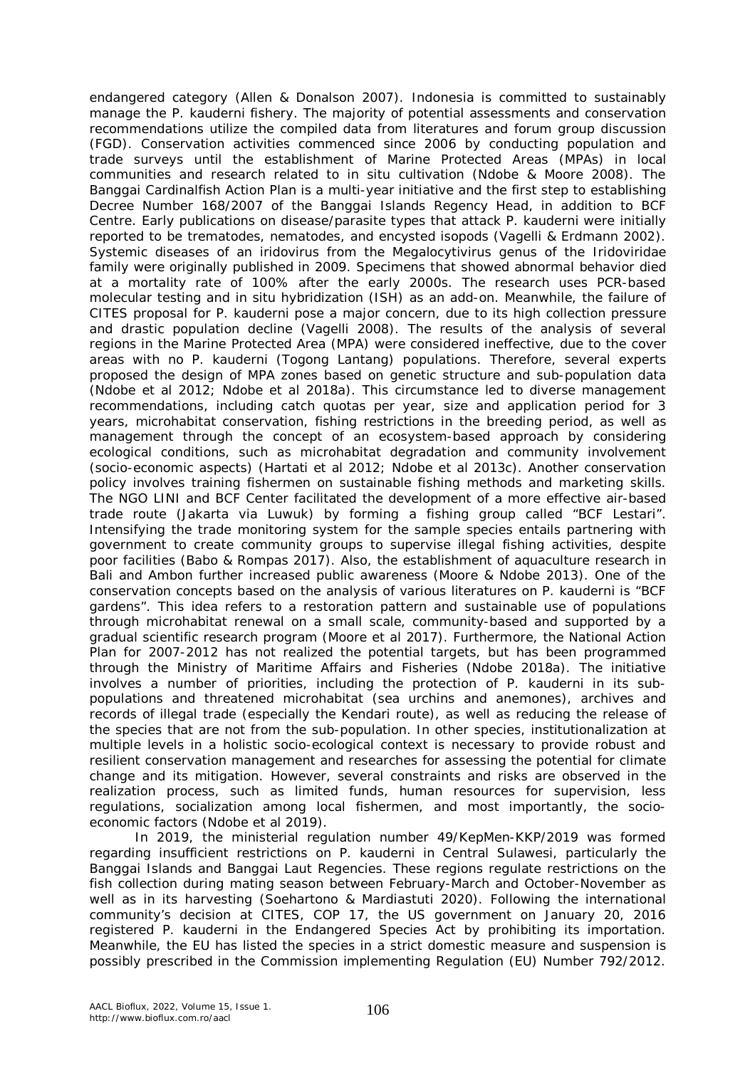endangered category (Allen & Donalson 2007). Indonesia is committed to sustainably manage the *P. kauderni* fishery. The majority of potential assessments and conservation recommendations utilize the compiled data from literatures and forum group discussion (FGD). Conservation activities commenced since 2006 by conducting population and trade surveys until the establishment of Marine Protected Areas (MPAs) in local communities and research related to in situ cultivation (Ndobe & Moore 2008). The Banggai Cardinalfish Action Plan is a multi-year initiative and the first step to establishing Decree Number 168/2007 of the Banggai Islands Regency Head, in addition to BCF Centre. Early publications on disease/parasite types that attack *P. kauderni* were initially reported to be trematodes, nematodes, and encysted isopods (Vagelli & Erdmann 2002). Systemic diseases of an iridovirus from the *Megalocytivirus* genus of the Iridoviridae family were originally published in 2009. Specimens that showed abnormal behavior died at a mortality rate of 100% after the early 2000s. The research uses PCR-based molecular testing and in situ hybridization (ISH) as an add-on. Meanwhile, the failure of CITES proposal for *P. kauderni* pose a major concern, due to its high collection pressure and drastic population decline (Vagelli 2008). The results of the analysis of several regions in the Marine Protected Area (MPA) were considered ineffective, due to the cover areas with no *P. kauderni* (Togong Lantang) populations. Therefore, several experts proposed the design of MPA zones based on genetic structure and sub-population data (Ndobe et al 2012; Ndobe et al 2018a). This circumstance led to diverse management recommendations, including catch quotas per year, size and application period for 3 years, microhabitat conservation, fishing restrictions in the breeding period, as well as management through the concept of an ecosystem-based approach by considering ecological conditions, such as microhabitat degradation and community involvement (socio-economic aspects) (Hartati et al 2012; Ndobe et al 2013c). Another conservation policy involves training fishermen on sustainable fishing methods and marketing skills. The NGO LINI and BCF Center facilitated the development of a more effective air-based trade route (Jakarta via Luwuk) by forming a fishing group called "BCF Lestari". Intensifying the trade monitoring system for the sample species entails partnering with government to create community groups to supervise illegal fishing activities, despite poor facilities (Babo & Rompas 2017). Also, the establishment of aquaculture research in Bali and Ambon further increased public awareness (Moore & Ndobe 2013). One of the conservation concepts based on the analysis of various literatures on *P. kauderni* is "BCF gardens". This idea refers to a restoration pattern and sustainable use of populations through microhabitat renewal on a small scale, community-based and supported by a gradual scientific research program (Moore et al 2017). Furthermore, the National Action Plan for 2007-2012 has not realized the potential targets, but has been programmed through the Ministry of Maritime Affairs and Fisheries (Ndobe 2018a). The initiative involves a number of priorities, including the protection of *P. kauderni* in its subpopulations and threatened microhabitat (sea urchins and anemones), archives and records of illegal trade (especially the Kendari route), as well as reducing the release of the species that are not from the sub-population. In other species, institutionalization at multiple levels in a holistic socio-ecological context is necessary to provide robust and resilient conservation management and researches for assessing the potential for climate change and its mitigation. However, several constraints and risks are observed in the realization process, such as limited funds, human resources for supervision, less regulations, socialization among local fishermen, and most importantly, the socioeconomic factors (Ndobe et al 2019).

In 2019, the ministerial regulation number 49/KepMen-KKP/2019 was formed regarding insufficient restrictions on *P. kauderni* in Central Sulawesi, particularly the Banggai Islands and Banggai Laut Regencies. These regions regulate restrictions on the fish collection during mating season between February-March and October-November as well as in its harvesting (Soehartono & Mardiastuti 2020). Following the international community's decision at CITES, COP 17, the US government on January 20, 2016 registered *P. kauderni* in the Endangered Species Act by prohibiting its importation. Meanwhile, the EU has listed the species in a strict domestic measure and suspension is possibly prescribed in the Commission implementing Regulation (EU) Number 792/2012.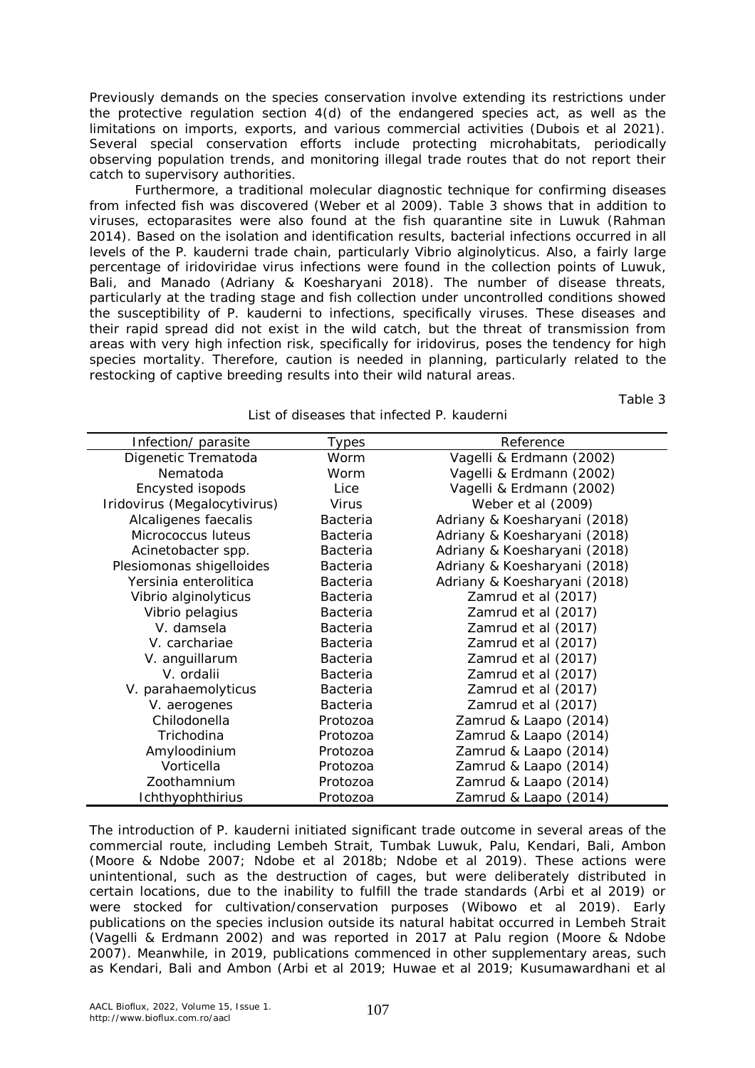Previously demands on the species conservation involve extending its restrictions under the protective regulation section 4(d) of the endangered species act, as well as the limitations on imports, exports, and various commercial activities (Dubois et al 2021). Several special conservation efforts include protecting microhabitats, periodically observing population trends, and monitoring illegal trade routes that do not report their catch to supervisory authorities.

Furthermore, a traditional molecular diagnostic technique for confirming diseases from infected fish was discovered (Weber et al 2009). Table 3 shows that in addition to viruses, ectoparasites were also found at the fish quarantine site in Luwuk (Rahman 2014). Based on the isolation and identification results, bacterial infections occurred in all levels of the *P. kauderni* trade chain, particularly *Vibrio alginolyticus*. Also, a fairly large percentage of iridoviridae virus infections were found in the collection points of Luwuk, Bali, and Manado (Adriany & Koesharyani 2018). The number of disease threats, particularly at the trading stage and fish collection under uncontrolled conditions showed the susceptibility of *P. kauderni* to infections, specifically viruses. These diseases and their rapid spread did not exist in the wild catch, but the threat of transmission from areas with very high infection risk, specifically for iridovirus, poses the tendency for high species mortality. Therefore, caution is needed in planning, particularly related to the restocking of captive breeding results into their wild natural areas.

List of diseases that infected *P. kauderni*

Table 3

| Infection/ parasite          | Types           | Reference                    |
|------------------------------|-----------------|------------------------------|
| Digenetic Trematoda          | Worm            | Vagelli & Erdmann (2002)     |
| Nematoda                     | Worm            | Vagelli & Erdmann (2002)     |
| Encysted isopods             | Lice            | Vagelli & Erdmann (2002)     |
| Iridovirus (Megalocytivirus) | Virus           | Weber et al (2009)           |
| Alcaligenes faecalis         | Bacteria        | Adriany & Koesharyani (2018) |
| Micrococcus luteus           | Bacteria        | Adriany & Koesharyani (2018) |
| Acinetobacter spp.           | Bacteria        | Adriany & Koesharyani (2018) |
| Plesiomonas shigelloides     | Bacteria        | Adriany & Koesharyani (2018) |
| Yersinia enterolitica        | Bacteria        | Adriany & Koesharyani (2018) |
| Vibrio alginolyticus         | Bacteria        | Zamrud et al (2017)          |
| Vibrio pelagius              | Bacteria        | Zamrud et al (2017)          |
| V. damsela                   | Bacteria        | Zamrud et al (2017)          |
| V. carchariae                | Bacteria        | Zamrud et al (2017)          |
| V. anguillarum               | Bacteria        | Zamrud et al (2017)          |
| V. ordalii                   | <b>Bacteria</b> | Zamrud et al (2017)          |
| V. parahaemolyticus          | Bacteria        | Zamrud et al (2017)          |
| V. aerogenes                 | <b>Bacteria</b> | Zamrud et al (2017)          |
| Chilodonella                 | Protozoa        | Zamrud & Laapo (2014)        |
| Trichodina                   | Protozoa        | Zamrud & Laapo (2014)        |
| Amyloodinium                 | Protozoa        | Zamrud & Laapo (2014)        |
| Vorticella                   | Protozoa        | Zamrud & Laapo (2014)        |
| Zoothamnium                  | Protozoa        | Zamrud & Laapo (2014)        |
| Ichthyophthirius             | Protozoa        | Zamrud & Laapo (2014)        |

The introduction of *P. kauderni* initiated significant trade outcome in several areas of the commercial route, including Lembeh Strait, Tumbak Luwuk, Palu, Kendari, Bali, Ambon (Moore & Ndobe 2007; Ndobe et al 2018b; Ndobe et al 2019). These actions were unintentional, such as the destruction of cages, but were deliberately distributed in certain locations, due to the inability to fulfill the trade standards (Arbi et al 2019) or were stocked for cultivation/conservation purposes (Wibowo et al 2019). Early publications on the species inclusion outside its natural habitat occurred in Lembeh Strait (Vagelli & Erdmann 2002) and was reported in 2017 at Palu region (Moore & Ndobe 2007). Meanwhile, in 2019, publications commenced in other supplementary areas, such as Kendari, Bali and Ambon (Arbi et al 2019; Huwae et al 2019; Kusumawardhani et al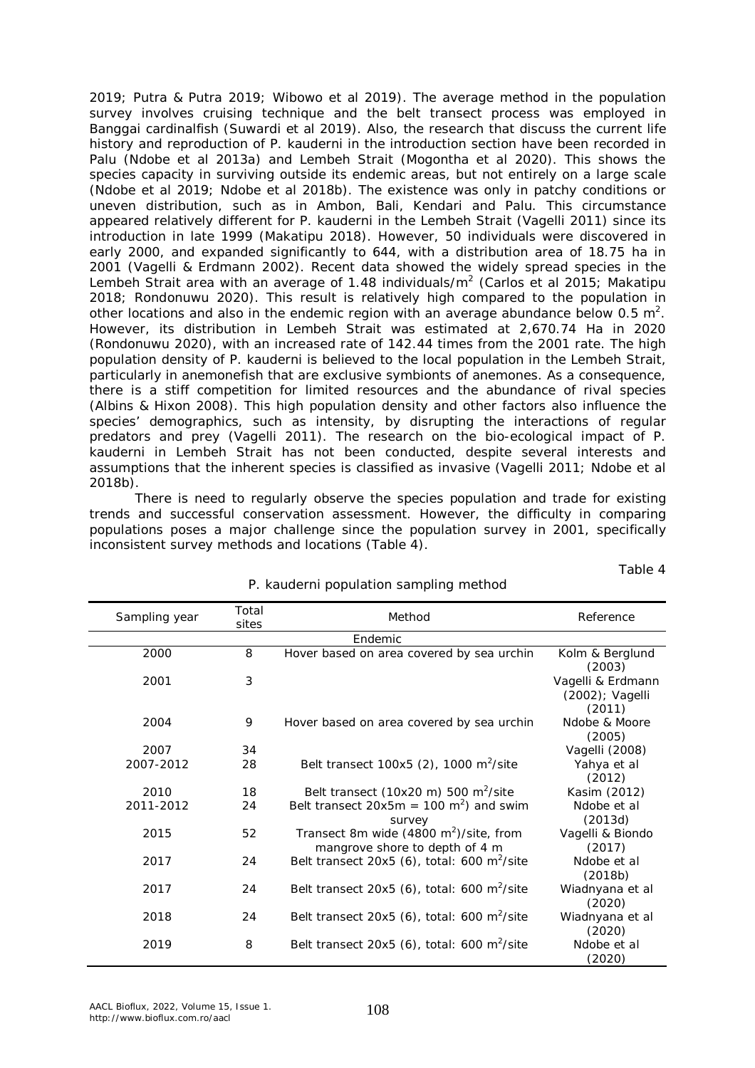2019; Putra & Putra 2019; Wibowo et al 2019). The average method in the population survey involves cruising technique and the belt transect process was employed in Banggai cardinalfish (Suwardi et al 2019). Also, the research that discuss the current life history and reproduction of *P. kauderni* in the introduction section have been recorded in Palu (Ndobe et al 2013a) and Lembeh Strait (Mogontha et al 2020). This shows the species capacity in surviving outside its endemic areas, but not entirely on a large scale (Ndobe et al 2019; Ndobe et al 2018b). The existence was only in patchy conditions or uneven distribution, such as in Ambon, Bali, Kendari and Palu. This circumstance appeared relatively different for *P. kauderni* in the Lembeh Strait (Vagelli 2011) since its introduction in late 1999 (Makatipu 2018). However, 50 individuals were discovered in early 2000, and expanded significantly to 644, with a distribution area of 18.75 ha in 2001 (Vagelli & Erdmann 2002). Recent data showed the widely spread species in the Lembeh Strait area with an average of 1.48 individuals/m<sup>2</sup> (Carlos et al 2015; Makatipu 2018; Rondonuwu 2020). This result is relatively high compared to the population in other locations and also in the endemic region with an average abundance below 0.5  $m^2$ . However, its distribution in Lembeh Strait was estimated at 2,670.74 Ha in 2020 (Rondonuwu 2020), with an increased rate of 142.44 times from the 2001 rate. The high population density of *P. kauderni* is believed to the local population in the Lembeh Strait, particularly in anemonefish that are exclusive symbionts of anemones. As a consequence, there is a stiff competition for limited resources and the abundance of rival species (Albins & Hixon 2008). This high population density and other factors also influence the species' demographics, such as intensity, by disrupting the interactions of regular predators and prey (Vagelli 2011). The research on the bio-ecological impact of *P. kauderni* in Lembeh Strait has not been conducted, despite several interests and assumptions that the inherent species is classified as invasive (Vagelli 2011; Ndobe et al 2018b).

There is need to regularly observe the species population and trade for existing trends and successful conservation assessment. However, the difficulty in comparing populations poses a major challenge since the population survey in 2001, specifically inconsistent survey methods and locations (Table 4).

Table 4

| Sampling year | Total<br>sites | Method                                                                                     | Reference                            |
|---------------|----------------|--------------------------------------------------------------------------------------------|--------------------------------------|
|               |                | Endemic                                                                                    |                                      |
| 2000          | 8              | Hover based on area covered by sea urchin                                                  | Kolm & Berglund<br>(2003)            |
| 2001          | 3              |                                                                                            | Vagelli & Erdmann<br>(2002); Vagelli |
|               |                |                                                                                            | (2011)                               |
| 2004          | 9              | Hover based on area covered by sea urchin                                                  | Ndobe & Moore<br>(2005)              |
| 2007          | 34             |                                                                                            | Vagelli (2008)                       |
| 2007-2012     | 28             | Belt transect $100x5$ (2), $1000 \text{ m}^2/\text{site}$                                  | Yahya et al<br>(2012)                |
| 2010          | 18             | Belt transect (10x20 m) 500 m <sup>2</sup> /site                                           | Kasim (2012)                         |
| 2011-2012     | 24             | Belt transect 20x5m = 100 m <sup>2</sup> ) and swim<br>survey                              | Ndobe et al<br>(2013d)               |
| 2015          | 52             | Transect 8m wide $(4800 \text{ m}^2)/\text{site}$ , from<br>mangrove shore to depth of 4 m | Vagelli & Biondo<br>(2017)           |
| 2017          | 24             | Belt transect 20x5 (6), total: 600 $m^2$ /site                                             | Ndobe et al<br>(2018b)               |
| 2017          | 24             | Belt transect 20x5 (6), total: 600 $m^2$ /site                                             | Wiadnyana et al<br>(2020)            |
| 2018          | 24             | Belt transect 20x5 (6), total: 600 $m^2$ /site                                             | Wiadnyana et al<br>(2020)            |
| 2019          | 8              | Belt transect 20x5 (6), total: 600 $m^2$ /site                                             | Ndobe et al<br>(2020)                |

## *P. kauderni* population sampling method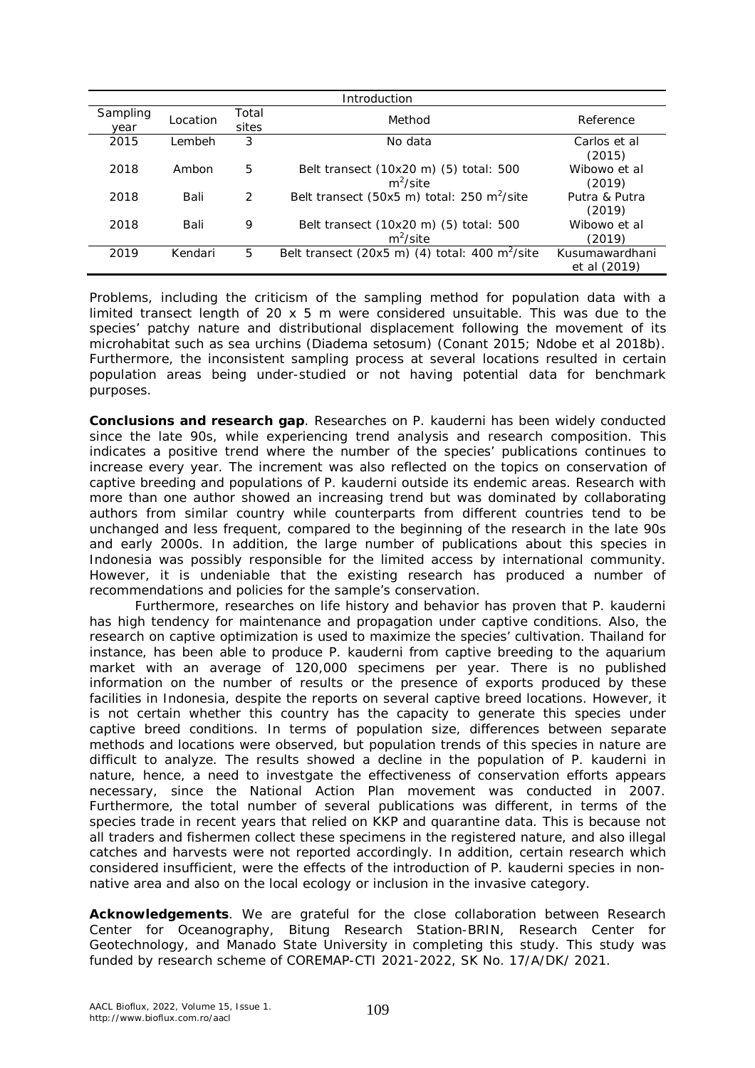| <i>Introduction</i> |          |                |                                                             |                                |
|---------------------|----------|----------------|-------------------------------------------------------------|--------------------------------|
| Sampling<br>vear    | Location | Total<br>sites | Method                                                      | Reference                      |
| 2015                | Lembeh   | 3              | No data                                                     | Carlos et al<br>(2015)         |
| 2018                | Ambon    | 5              | Belt transect (10x20 m) (5) total: 500<br>$m^2$ /site       | Wibowo et al<br>(2019)         |
| 2018                | Bali     | $\mathcal{P}$  | Belt transect (50x5 m) total: $250 \text{ m}^2/\text{site}$ | Putra & Putra<br>(2019)        |
| 2018                | Bali     | 9              | Belt transect (10x20 m) (5) total: 500<br>$m^2$ /site       | Wibowo et al<br>(2019)         |
| 2019                | Kendari  | 5              | Belt transect (20x5 m) (4) total: 400 m <sup>2</sup> /site  | Kusumawardhani<br>et al (2019) |

Problems, including the criticism of the sampling method for population data with a limited transect length of 20 x 5 m were considered unsuitable. This was due to the species' patchy nature and distributional displacement following the movement of its microhabitat such as sea urchins (*Diadema setosum*) (Conant 2015; Ndobe et al 2018b). Furthermore, the inconsistent sampling process at several locations resulted in certain population areas being under-studied or not having potential data for benchmark purposes.

**Conclusions and research gap**. Researches on *P. kauderni* has been widely conducted since the late 90s, while experiencing trend analysis and research composition. This indicates a positive trend where the number of the species' publications continues to increase every year. The increment was also reflected on the topics on conservation of captive breeding and populations of *P. kauderni* outside its endemic areas. Research with more than one author showed an increasing trend but was dominated by collaborating authors from similar country while counterparts from different countries tend to be unchanged and less frequent, compared to the beginning of the research in the late 90s and early 2000s. In addition, the large number of publications about this species in Indonesia was possibly responsible for the limited access by international community. However, it is undeniable that the existing research has produced a number of recommendations and policies for the sample's conservation.

Furthermore, researches on life history and behavior has proven that *P. kauderni* has high tendency for maintenance and propagation under captive conditions. Also, the research on captive optimization is used to maximize the species' cultivation. Thailand for instance, has been able to produce *P. kauderni* from captive breeding to the aquarium market with an average of 120,000 specimens per year. There is no published information on the number of results or the presence of exports produced by these facilities in Indonesia, despite the reports on several captive breed locations. However, it is not certain whether this country has the capacity to generate this species under captive breed conditions. In terms of population size, differences between separate methods and locations were observed, but population trends of this species in nature are difficult to analyze. The results showed a decline in the population of *P. kauderni* in nature, hence, a need to investgate the effectiveness of conservation efforts appears necessary, since the National Action Plan movement was conducted in 2007. Furthermore, the total number of several publications was different, in terms of the species trade in recent years that relied on KKP and quarantine data. This is because not all traders and fishermen collect these specimens in the registered nature, and also illegal catches and harvests were not reported accordingly. In addition, certain research which considered insufficient, were the effects of the introduction of *P. kauderni* species in nonnative area and also on the local ecology or inclusion in the invasive category.

**Acknowledgements**. We are grateful for the close collaboration between Research Center for Oceanography, Bitung Research Station-BRIN, Research Center for Geotechnology, and Manado State University in completing this study. This study was funded by research scheme of COREMAP-CTI 2021-2022, SK No. 17/A/DK/ 2021.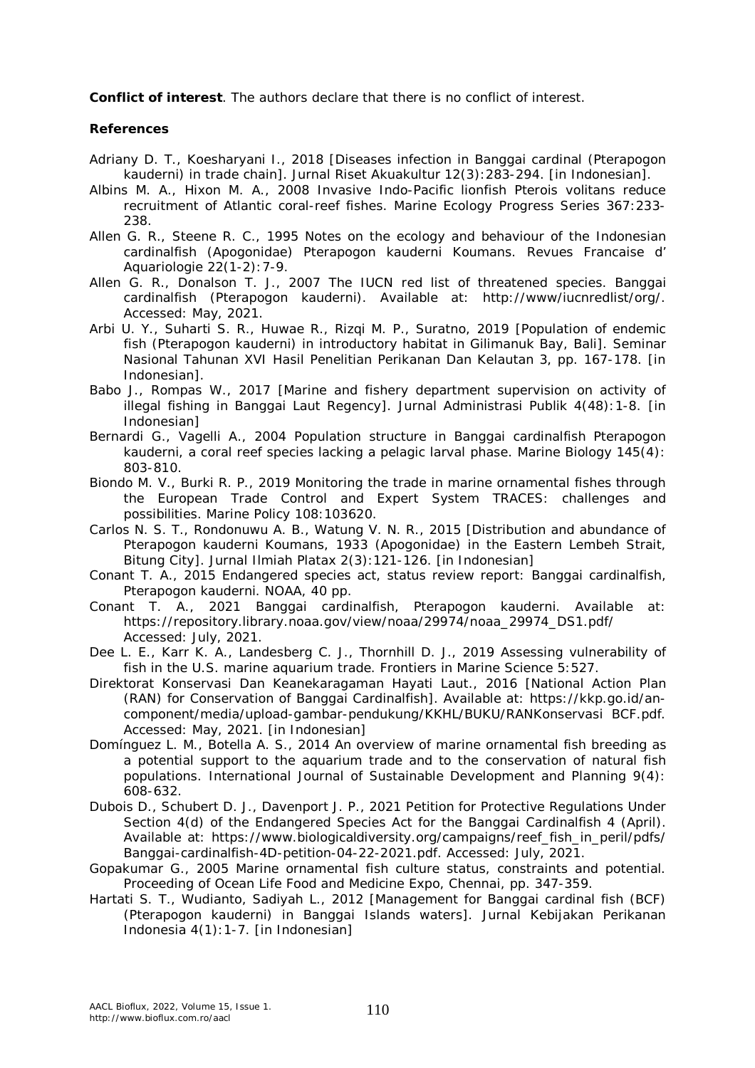**Conflict of interest**. The authors declare that there is no conflict of interest.

### **References**

- Adriany D. T., Koesharyani I., 2018 [Diseases infection in Banggai cardinal (*Pterapogon kauderni*) in trade chain]. Jurnal Riset Akuakultur 12(3):283-294. [in Indonesian].
- Albins M. A., Hixon M. A., 2008 Invasive Indo-Pacific lionfish *Pterois volitans* reduce recruitment of Atlantic coral-reef fishes. Marine Ecology Progress Series 367:233- 238.
- Allen G. R., Steene R. C., 1995 Notes on the ecology and behaviour of the Indonesian cardinalfish (Apogonidae) *Pterapogon kauderni* Koumans. Revues Francaise d' Aquariologie 22(1-2):7-9.
- Allen G. R., Donalson T. J., 2007 The IUCN red list of threatened species. Banggai cardinalfish (*Pterapogon kauderni*). Available at: http://www/iucnredlist/org/. Accessed: May, 2021.
- Arbi U. Y., Suharti S. R., Huwae R., Rizqi M. P., Suratno, 2019 [Population of endemic fish (*Pterapogon kauderni*) in introductory habitat in Gilimanuk Bay, Bali]. Seminar Nasional Tahunan XVI Hasil Penelitian Perikanan Dan Kelautan 3, pp. 167-178. [in Indonesian].
- Babo J., Rompas W., 2017 [Marine and fishery department supervision on activity of illegal fishing in Banggai Laut Regency]. Jurnal Administrasi Publik 4(48):1-8. [in Indonesian]
- Bernardi G., Vagelli A., 2004 Population structure in Banggai cardinalfish *Pterapogon kauderni*, a coral reef species lacking a pelagic larval phase. Marine Biology 145(4): 803-810.
- Biondo M. V., Burki R. P., 2019 Monitoring the trade in marine ornamental fishes through the European Trade Control and Expert System TRACES: challenges and possibilities. Marine Policy 108:103620.
- Carlos N. S. T., Rondonuwu A. B., Watung V. N. R., 2015 [Distribution and abundance of *Pterapogon kauderni* Koumans, 1933 (Apogonidae) in the Eastern Lembeh Strait, Bitung City]. Jurnal Ilmiah Platax 2(3):121-126. [in Indonesian]
- Conant T. A., 2015 Endangered species act, status review report: Banggai cardinalfish, *Pterapogon kauderni*. NOAA, 40 pp.
- Conant T. A., 2021 Banggai cardinalfish, *Pterapogon kauderni*. Available at: https://repository.library.noaa.gov/view/noaa/29974/noaa\_29974\_DS1.pdf/ Accessed: July, 2021.
- Dee L. E., Karr K. A., Landesberg C. J., Thornhill D. J., 2019 Assessing vulnerability of fish in the U.S. marine aquarium trade. Frontiers in Marine Science 5:527.
- Direktorat Konservasi Dan Keanekaragaman Hayati Laut., 2016 [National Action Plan (RAN) for Conservation of Banggai Cardinalfish]. Available at: https://kkp.go.id/ancomponent/media/upload-gambar-pendukung/KKHL/BUKU/RANKonservasi BCF.pdf. Accessed: May, 2021. [in Indonesian]
- Domínguez L. M., Botella A. S., 2014 An overview of marine ornamental fish breeding as a potential support to the aquarium trade and to the conservation of natural fish populations. International Journal of Sustainable Development and Planning 9(4): 608-632.
- Dubois D., Schubert D. J., Davenport J. P., 2021 Petition for Protective Regulations Under Section 4(d) of the Endangered Species Act for the Banggai Cardinalfish 4 (April). Available at: https://www.biologicaldiversity.org/campaigns/reef\_fish\_in\_peril/pdfs/ Banggai-cardinalfish-4D-petition-04-22-2021.pdf. Accessed: July, 2021.
- Gopakumar G., 2005 Marine ornamental fish culture status, constraints and potential. Proceeding of Ocean Life Food and Medicine Expo, Chennai, pp. 347-359.
- Hartati S. T., Wudianto, Sadiyah L., 2012 [Management for Banggai cardinal fish (BCF) (*Pterapogon kauderni*) in Banggai Islands waters]. Jurnal Kebijakan Perikanan Indonesia 4(1):1-7. [in Indonesian]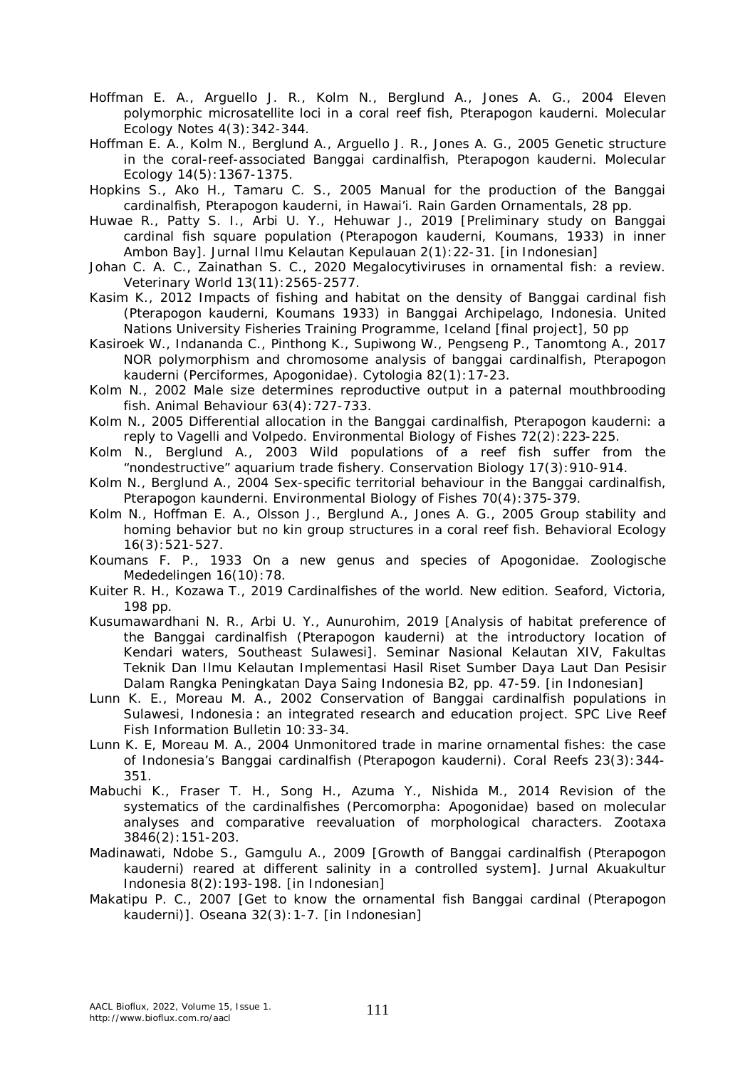- Hoffman E. A., Arguello J. R., Kolm N., Berglund A., Jones A. G., 2004 Eleven polymorphic microsatellite loci in a coral reef fish, *Pterapogon kauderni*. Molecular Ecology Notes 4(3):342-344.
- Hoffman E. A., Kolm N., Berglund A., Arguello J. R., Jones A. G., 2005 Genetic structure in the coral-reef-associated Banggai cardinalfish, *Pterapogon kauderni*. Molecular Ecology 14(5):1367-1375.
- Hopkins S., Ako H., Tamaru C. S., 2005 Manual for the production of the Banggai cardinalfish, *Pterapogon kauderni*, in Hawai'i. Rain Garden Ornamentals, 28 pp.
- Huwae R., Patty S. I., Arbi U. Y., Hehuwar J., 2019 [Preliminary study on Banggai cardinal fish square population (*Pterapogon kauderni*, Koumans, 1933) in inner Ambon Bay]. Jurnal Ilmu Kelautan Kepulauan 2(1):22-31. [in Indonesian]
- Johan C. A. C., Zainathan S. C., 2020 Megalocytiviruses in ornamental fish: a review. Veterinary World 13(11):2565-2577.
- Kasim K., 2012 Impacts of fishing and habitat on the density of Banggai cardinal fish (*Pterapogon kauderni*, Koumans 1933) in Banggai Archipelago, Indonesia. United Nations University Fisheries Training Programme, Iceland [final project], 50 pp
- Kasiroek W., Indananda C., Pinthong K., Supiwong W., Pengseng P., Tanomtong A., 2017 NOR polymorphism and chromosome analysis of banggai cardinalfish, *Pterapogon kauderni* (Perciformes, Apogonidae). Cytologia 82(1):17-23.
- Kolm N., 2002 Male size determines reproductive output in a paternal mouthbrooding fish. Animal Behaviour 63(4):727-733.
- Kolm N., 2005 Differential allocation in the Banggai cardinalfish, *Pterapogon kauderni*: a reply to Vagelli and Volpedo. Environmental Biology of Fishes 72(2):223-225.
- Kolm N., Berglund A., 2003 Wild populations of a reef fish suffer from the "nondestructive" aquarium trade fishery. Conservation Biology 17(3):910-914.
- Kolm N., Berglund A., 2004 Sex-specific territorial behaviour in the Banggai cardinalfish, *Pterapogon kaunderni*. Environmental Biology of Fishes 70(4):375-379.
- Kolm N., Hoffman E. A., Olsson J., Berglund A., Jones A. G., 2005 Group stability and homing behavior but no kin group structures in a coral reef fish. Behavioral Ecology 16(3):521-527.
- Koumans F. P., 1933 On a new genus and species of Apogonidae. Zoologische Mededelingen 16(10):78.
- Kuiter R. H., Kozawa T., 2019 Cardinalfishes of the world. New edition. Seaford, Victoria, 198 pp.
- Kusumawardhani N. R., Arbi U. Y., Aunurohim, 2019 [Analysis of habitat preference of the Banggai cardinalfish (*Pterapogon kauderni*) at the introductory location of Kendari waters, Southeast Sulawesi]. Seminar Nasional Kelautan XIV, Fakultas Teknik Dan Ilmu Kelautan Implementasi Hasil Riset Sumber Daya Laut Dan Pesisir Dalam Rangka Peningkatan Daya Saing Indonesia B2, pp. 47-59. [in Indonesian]
- Lunn K. E., Moreau M. A., 2002 Conservation of Banggai cardinalfish populations in Sulawesi, Indonesia : an integrated research and education project. SPC Live Reef Fish Information Bulletin 10:33-34.
- Lunn K. E, Moreau M. A., 2004 Unmonitored trade in marine ornamental fishes: the case of Indonesia's Banggai cardinalfish (*Pterapogon kauderni*). Coral Reefs 23(3):344- 351.
- Mabuchi K., Fraser T. H., Song H., Azuma Y., Nishida M., 2014 Revision of the systematics of the cardinalfishes (Percomorpha: Apogonidae) based on molecular analyses and comparative reevaluation of morphological characters. Zootaxa 3846(2):151-203.
- Madinawati, Ndobe S., Gamgulu A., 2009 [Growth of Banggai cardinalfish (*Pterapogon kauderni*) reared at different salinity in a controlled system]. Jurnal Akuakultur Indonesia 8(2):193-198. [in Indonesian]
- Makatipu P. C., 2007 [Get to know the ornamental fish Banggai cardinal (*Pterapogon kauderni*)]. Oseana 32(3):1-7. [in Indonesian]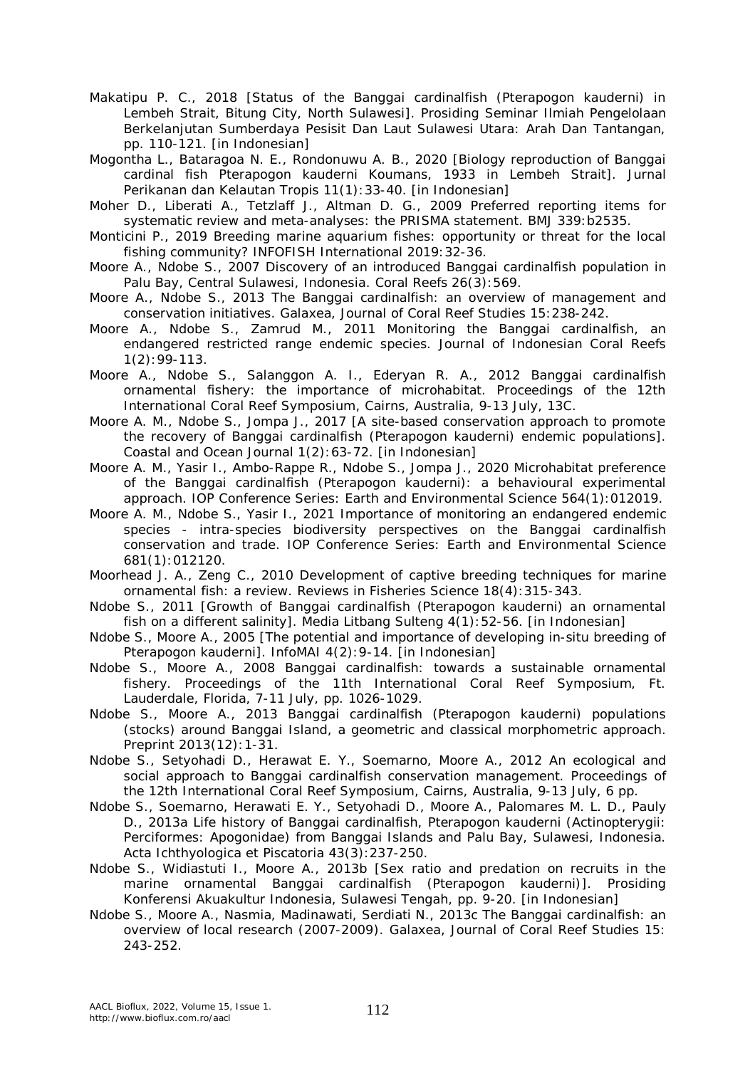Makatipu P. C., 2018 [Status of the Banggai cardinalfish (*Pterapogon kauderni*) in Lembeh Strait, Bitung City, North Sulawesi]. Prosiding Seminar Ilmiah Pengelolaan Berkelanjutan Sumberdaya Pesisit Dan Laut Sulawesi Utara: Arah Dan Tantangan, pp. 110-121. [in Indonesian]

Mogontha L., Bataragoa N. E., Rondonuwu A. B., 2020 [Biology reproduction of Banggai cardinal fish *Pterapogon kauderni* Koumans, 1933 in Lembeh Strait]. Jurnal Perikanan dan Kelautan Tropis 11(1):33-40. [in Indonesian]

Moher D., Liberati A., Tetzlaff J., Altman D. G., 2009 Preferred reporting items for systematic review and meta-analyses: the PRISMA statement. BMJ 339:b2535.

- Monticini P., 2019 Breeding marine aquarium fishes: opportunity or threat for the local fishing community? INFOFISH International 2019:32-36.
- Moore A., Ndobe S., 2007 Discovery of an introduced Banggai cardinalfish population in Palu Bay, Central Sulawesi, Indonesia. Coral Reefs 26(3):569.
- Moore A., Ndobe S., 2013 The Banggai cardinalfish: an overview of management and conservation initiatives. Galaxea, Journal of Coral Reef Studies 15:238-242.
- Moore A., Ndobe S., Zamrud M., 2011 Monitoring the Banggai cardinalfish, an endangered restricted range endemic species. Journal of Indonesian Coral Reefs 1(2):99-113.
- Moore A., Ndobe S., Salanggon A. I., Ederyan R. A., 2012 Banggai cardinalfish ornamental fishery: the importance of microhabitat. Proceedings of the 12th International Coral Reef Symposium, Cairns, Australia, 9-13 July, 13C.
- Moore A. M., Ndobe S., Jompa J., 2017 [A site-based conservation approach to promote the recovery of Banggai cardinalfish (*Pterapogon kauderni*) endemic populations]. Coastal and Ocean Journal 1(2):63-72. [in Indonesian]

Moore A. M., Yasir I., Ambo-Rappe R., Ndobe S., Jompa J., 2020 Microhabitat preference of the Banggai cardinalfish (*Pterapogon kauderni*): a behavioural experimental approach. IOP Conference Series: Earth and Environmental Science 564(1):012019.

- Moore A. M., Ndobe S., Yasir I., 2021 Importance of monitoring an endangered endemic species - intra-species biodiversity perspectives on the Banggai cardinalfish conservation and trade. IOP Conference Series: Earth and Environmental Science 681(1):012120.
- Moorhead J. A., Zeng C., 2010 Development of captive breeding techniques for marine ornamental fish: a review. Reviews in Fisheries Science 18(4):315-343.
- Ndobe S., 2011 [Growth of Banggai cardinalfish (*Pterapogon kauderni*) an ornamental fish on a different salinity]. Media Litbang Sulteng 4(1):52-56. [in Indonesian]
- Ndobe S., Moore A., 2005 [The potential and importance of developing in-situ breeding of *Pterapogon kauderni*]. InfoMAI 4(2):9-14. [in Indonesian]
- Ndobe S., Moore A., 2008 Banggai cardinalfish: towards a sustainable ornamental fishery. Proceedings of the 11th International Coral Reef Symposium, Ft. Lauderdale, Florida, 7-11 July, pp. 1026-1029.
- Ndobe S., Moore A., 2013 Banggai cardinalfish (*Pterapogon kauderni*) populations (stocks) around Banggai Island, a geometric and classical morphometric approach. Preprint 2013(12):1-31.
- Ndobe S., Setyohadi D., Herawat E. Y., Soemarno, Moore A., 2012 An ecological and social approach to Banggai cardinalfish conservation management. Proceedings of the 12th International Coral Reef Symposium, Cairns, Australia, 9-13 July, 6 pp.
- Ndobe S., Soemarno, Herawati E. Y., Setyohadi D., Moore A., Palomares M. L. D., Pauly D., 2013a Life history of Banggai cardinalfish, *Pterapogon kauderni* (Actinopterygii: Perciformes: Apogonidae) from Banggai Islands and Palu Bay, Sulawesi, Indonesia. Acta Ichthyologica et Piscatoria 43(3):237-250.
- Ndobe S., Widiastuti I., Moore A., 2013b [Sex ratio and predation on recruits in the marine ornamental Banggai cardinalfish (*Pterapogon kauderni*)]. Prosiding Konferensi Akuakultur Indonesia, Sulawesi Tengah, pp. 9-20. [in Indonesian]
- Ndobe S., Moore A., Nasmia, Madinawati, Serdiati N., 2013c The Banggai cardinalfish: an overview of local research (2007-2009). Galaxea, Journal of Coral Reef Studies 15: 243-252.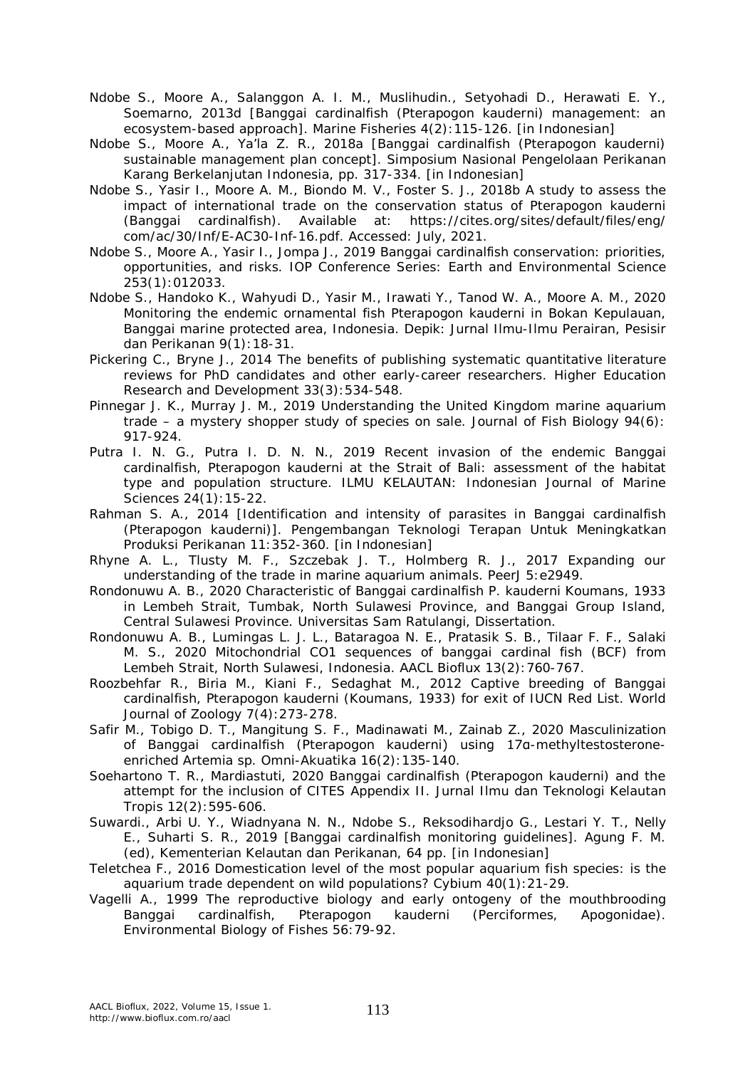- Ndobe S., Moore A., Salanggon A. I. M., Muslihudin., Setyohadi D., Herawati E. Y., Soemarno, 2013d [Banggai cardinalfish (*Pterapogon kauderni*) management: an ecosystem-based approach]. Marine Fisheries 4(2):115-126. [in Indonesian]
- Ndobe S., Moore A., Ya'la Z. R., 2018a [Banggai cardinalfish (*Pterapogon kauderni*) sustainable management plan concept]. Simposium Nasional Pengelolaan Perikanan Karang Berkelanjutan Indonesia, pp. 317-334. [in Indonesian]
- Ndobe S., Yasir I., Moore A. M., Biondo M. V., Foster S. J., 2018b A study to assess the impact of international trade on the conservation status of *Pterapogon kauderni* (Banggai cardinalfish). Available at: https://cites.org/sites/default/files/eng/ com/ac/30/Inf/E-AC30-Inf-16.pdf. Accessed: July, 2021.
- Ndobe S., Moore A., Yasir I., Jompa J., 2019 Banggai cardinalfish conservation: priorities, opportunities, and risks. IOP Conference Series: Earth and Environmental Science 253(1):012033.
- Ndobe S., Handoko K., Wahyudi D., Yasir M., Irawati Y., Tanod W. A., Moore A. M., 2020 Monitoring the endemic ornamental fish *Pterapogon kauderni* in Bokan Kepulauan, Banggai marine protected area, Indonesia. Depik: Jurnal Ilmu-Ilmu Perairan, Pesisir dan Perikanan 9(1):18-31.
- Pickering C., Bryne J., 2014 The benefits of publishing systematic quantitative literature reviews for PhD candidates and other early-career researchers. Higher Education Research and Development 33(3):534-548.
- Pinnegar J. K., Murray J. M., 2019 Understanding the United Kingdom marine aquarium trade – a mystery shopper study of species on sale. Journal of Fish Biology 94(6): 917-924.
- Putra I. N. G., Putra I. D. N. N., 2019 Recent invasion of the endemic Banggai cardinalfish, *Pterapogon kauderni* at the Strait of Bali: assessment of the habitat type and population structure. ILMU KELAUTAN: Indonesian Journal of Marine Sciences 24(1):15-22.
- Rahman S. A., 2014 [Identification and intensity of parasites in Banggai cardinalfish (*Pterapogon kauderni*)]. Pengembangan Teknologi Terapan Untuk Meningkatkan Produksi Perikanan 11:352-360. [in Indonesian]
- Rhyne A. L., Tlusty M. F., Szczebak J. T., Holmberg R. J., 2017 Expanding our understanding of the trade in marine aquarium animals. PeerJ 5:e2949.
- Rondonuwu A. B., 2020 Characteristic of Banggai cardinalfish *P. kauderni* Koumans, 1933 in Lembeh Strait, Tumbak, North Sulawesi Province, and Banggai Group Island, Central Sulawesi Province. Universitas Sam Ratulangi, Dissertation.
- Rondonuwu A. B., Lumingas L. J. L., Bataragoa N. E., Pratasik S. B., Tilaar F. F., Salaki M. S., 2020 Mitochondrial CO1 sequences of banggai cardinal fish (BCF) from Lembeh Strait, North Sulawesi, Indonesia. AACL Bioflux 13(2):760-767.
- Roozbehfar R., Biria M., Kiani F., Sedaghat M., 2012 Captive breeding of Banggai cardinalfish, *Pterapogon kauderni* (Koumans, 1933) for exit of IUCN Red List. World Journal of Zoology 7(4):273-278.
- Safir M., Tobigo D. T., Mangitung S. F., Madinawati M., Zainab Z., 2020 Masculinization of Banggai cardinalfish (*Pterapogon kauderni*) using 17α-methyltestosteroneenriched *Artemia* sp. Omni-Akuatika 16(2):135-140.
- Soehartono T. R., Mardiastuti, 2020 Banggai cardinalfish (*Pterapogon kauderni*) and the attempt for the inclusion of CITES Appendix II. Jurnal Ilmu dan Teknologi Kelautan Tropis 12(2):595-606.
- Suwardi., Arbi U. Y., Wiadnyana N. N., Ndobe S., Reksodihardjo G., Lestari Y. T., Nelly E., Suharti S. R., 2019 [Banggai cardinalfish monitoring guidelines]. Agung F. M. (ed), Kementerian Kelautan dan Perikanan, 64 pp. [in Indonesian]
- Teletchea F., 2016 Domestication level of the most popular aquarium fish species: is the aquarium trade dependent on wild populations? Cybium 40(1):21-29.
- Vagelli A., 1999 The reproductive biology and early ontogeny of the mouthbrooding Banggai cardinalfish, *Pterapogon kauderni* (Perciformes, Apogonidae). Environmental Biology of Fishes 56:79-92.